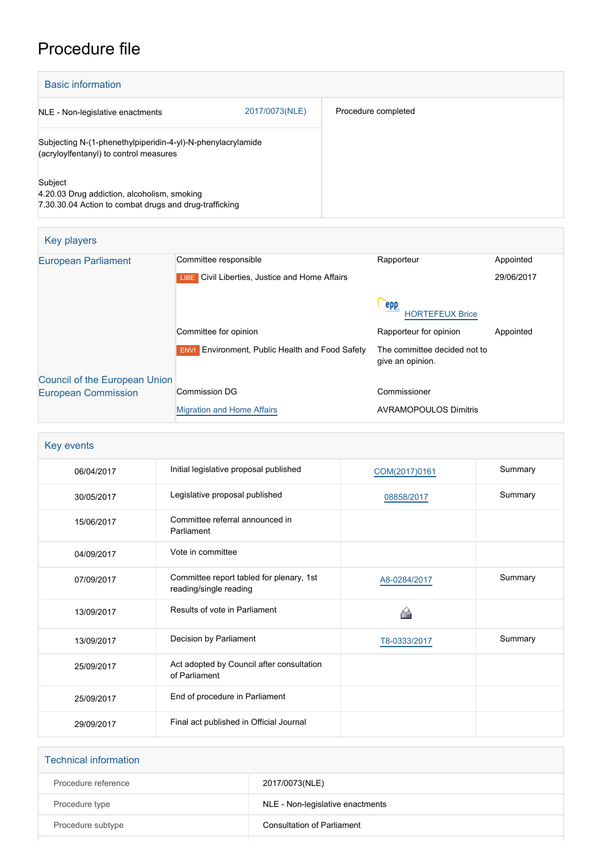# Procedure file

| <b>Basic information</b>                                                                                         |                |                     |
|------------------------------------------------------------------------------------------------------------------|----------------|---------------------|
| NLE - Non-legislative enactments                                                                                 | 2017/0073(NLE) | Procedure completed |
| Subjecting N-(1-phenethylpiperidin-4-yl)-N-phenylacrylamide<br>(acryloylfentanyl) to control measures            |                |                     |
| Subject<br>4.20.03 Drug addiction, alcoholism, smoking<br>7.30.30.04 Action to combat drugs and drug-trafficking |                |                     |

| Key players                          |                                                                  |                                                  |            |
|--------------------------------------|------------------------------------------------------------------|--------------------------------------------------|------------|
| <b>European Parliament</b>           | Committee responsible                                            | Rapporteur                                       | Appointed  |
|                                      | Civil Liberties, Justice and Home Affairs<br>IBE.                |                                                  | 29/06/2017 |
|                                      |                                                                  | epp<br><b>HORTEFEUX Brice</b>                    |            |
|                                      | Committee for opinion                                            | Rapporteur for opinion                           | Appointed  |
|                                      | <b>Environment, Public Health and Food Safety</b><br><b>ENVI</b> | The committee decided not to<br>give an opinion. |            |
| <b>Council of the European Union</b> |                                                                  |                                                  |            |
| <b>European Commission</b>           | <b>Commission DG</b>                                             | Commissioner                                     |            |
|                                      | <b>Migration and Home Affairs</b>                                | <b>AVRAMOPOULOS Dimitris</b>                     |            |

| Key events |                                                                    |               |         |
|------------|--------------------------------------------------------------------|---------------|---------|
| 06/04/2017 | Initial legislative proposal published                             | COM(2017)0161 | Summary |
| 30/05/2017 | Legislative proposal published                                     | 08858/2017    | Summary |
| 15/06/2017 | Committee referral announced in<br>Parliament                      |               |         |
| 04/09/2017 | Vote in committee                                                  |               |         |
| 07/09/2017 | Committee report tabled for plenary, 1st<br>reading/single reading | A8-0284/2017  | Summary |
| 13/09/2017 | Results of vote in Parliament                                      |               |         |
| 13/09/2017 | Decision by Parliament                                             | T8-0333/2017  | Summary |
| 25/09/2017 | Act adopted by Council after consultation<br>of Parliament         |               |         |
| 25/09/2017 | End of procedure in Parliament                                     |               |         |
| 29/09/2017 | Final act published in Official Journal                            |               |         |

| <b>Technical information</b> |                                   |
|------------------------------|-----------------------------------|
| Procedure reference          | 2017/0073(NLE)                    |
| Procedure type               | NLE - Non-legislative enactments  |
| Procedure subtype            | <b>Consultation of Parliament</b> |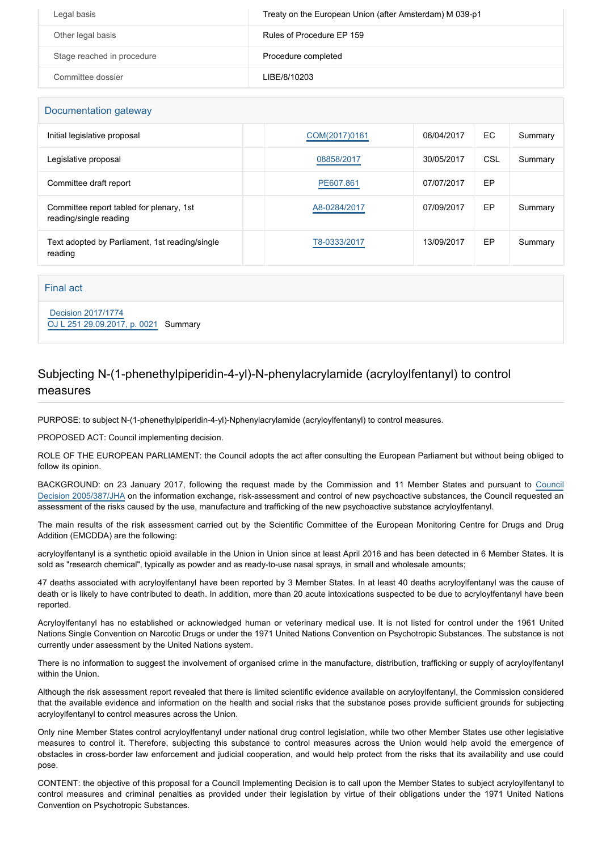| Legal basis                | Treaty on the European Union (after Amsterdam) M 039-p1 |
|----------------------------|---------------------------------------------------------|
| Other legal basis          | Rules of Procedure EP 159                               |
| Stage reached in procedure | Procedure completed                                     |
| Committee dossier          | LIBE/8/10203                                            |

| Documentation gateway                                              |               |            |     |         |
|--------------------------------------------------------------------|---------------|------------|-----|---------|
| Initial legislative proposal                                       | COM(2017)0161 | 06/04/2017 | EC. | Summary |
| Legislative proposal                                               | 08858/2017    | 30/05/2017 | CSL | Summary |
| Committee draft report                                             | PE607.861     | 07/07/2017 | EP  |         |
| Committee report tabled for plenary, 1st<br>reading/single reading | A8-0284/2017  | 07/09/2017 | EP  | Summary |
| Text adopted by Parliament, 1st reading/single<br>reading          | T8-0333/2017  | 13/09/2017 | EP  | Summary |

#### Final act

 [Decision 2017/1774](https://eur-lex.europa.eu/smartapi/cgi/sga_doc?smartapi!celexplus!prod!CELEXnumdoc&lg=EN&numdoc=32017D1774) [OJ L 251 29.09.2017, p. 0021](https://eur-lex.europa.eu/legal-content/EN/TXT/?uri=OJ:L:2017:251:TOC) Summary

## Subjecting N-(1-phenethylpiperidin-4-yl)-N-phenylacrylamide (acryloylfentanyl) to control measures

PURPOSE: to subject N-(1-phenethylpiperidin-4-yl)-Nphenylacrylamide (acryloylfentanyl) to control measures.

PROPOSED ACT: Council implementing decision.

ROLE OF THE EUROPEAN PARLIAMENT: the Council adopts the act after consulting the European Parliament but without being obliged to follow its opinion.

BACKGROUND: on 23 January 2017, following the request made by the Commission and 11 Member States and pursuant to [Council](http://www.europarl.europa.eu/oeil/popups/ficheprocedure.do?reference=2003/0215(CNS)&l=en) [Decision 2005/387/JHA](http://www.europarl.europa.eu/oeil/popups/ficheprocedure.do?reference=2003/0215(CNS)&l=en) on the information exchange, risk-assessment and control of new psychoactive substances, the Council requested an assessment of the risks caused by the use, manufacture and trafficking of the new psychoactive substance acryloylfentanyl.

The main results of the risk assessment carried out by the Scientific Committee of the European Monitoring Centre for Drugs and Drug Addition (EMCDDA) are the following:

acryloylfentanyl is a synthetic opioid available in the Union in Union since at least April 2016 and has been detected in 6 Member States. It is sold as "research chemical", typically as powder and as ready-to-use nasal sprays, in small and wholesale amounts;

47 deaths associated with acryloylfentanyl have been reported by 3 Member States. In at least 40 deaths acryloylfentanyl was the cause of death or is likely to have contributed to death. In addition, more than 20 acute intoxications suspected to be due to acryloylfentanyl have been reported.

Acryloylfentanyl has no established or acknowledged human or veterinary medical use. It is not listed for control under the 1961 United Nations Single Convention on Narcotic Drugs or under the 1971 United Nations Convention on Psychotropic Substances. The substance is not currently under assessment by the United Nations system.

There is no information to suggest the involvement of organised crime in the manufacture, distribution, trafficking or supply of acryloylfentanyl within the Union.

Although the risk assessment report revealed that there is limited scientific evidence available on acryloylfentanyl, the Commission considered that the available evidence and information on the health and social risks that the substance poses provide sufficient grounds for subjecting acryloylfentanyl to control measures across the Union.

Only nine Member States control acryloylfentanyl under national drug control legislation, while two other Member States use other legislative measures to control it. Therefore, subjecting this substance to control measures across the Union would help avoid the emergence of obstacles in cross-border law enforcement and judicial cooperation, and would help protect from the risks that its availability and use could pose.

CONTENT: the objective of this proposal for a Council Implementing Decision is to call upon the Member States to subject acryloylfentanyl to control measures and criminal penalties as provided under their legislation by virtue of their obligations under the 1971 United Nations Convention on Psychotropic Substances.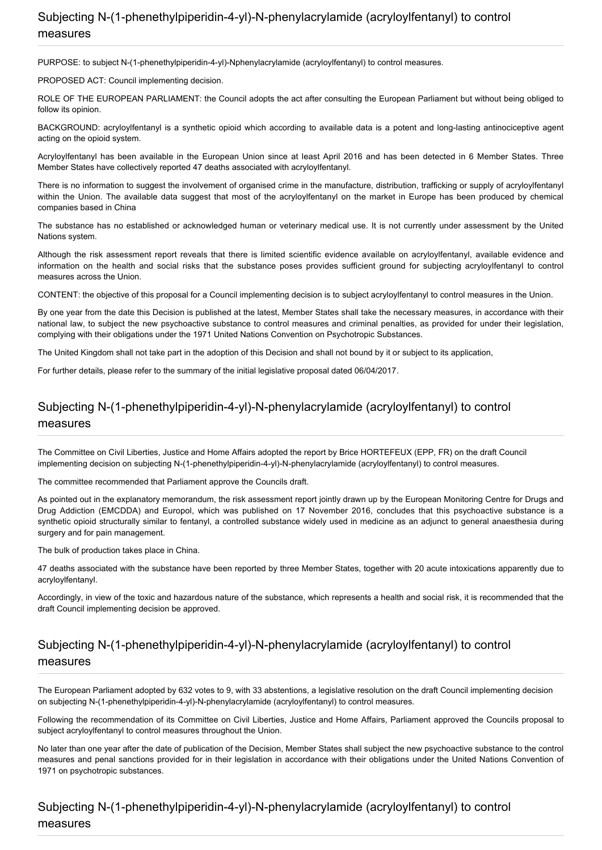PURPOSE: to subject N-(1-phenethylpiperidin-4-yl)-Nphenylacrylamide (acryloylfentanyl) to control measures.

PROPOSED ACT: Council implementing decision.

ROLE OF THE EUROPEAN PARLIAMENT: the Council adopts the act after consulting the European Parliament but without being obliged to follow its opinion.

BACKGROUND: acryloylfentanyl is a synthetic opioid which according to available data is a potent and long-lasting antinociceptive agent acting on the opioid system.

Acryloylfentanyl has been available in the European Union since at least April 2016 and has been detected in 6 Member States. Three Member States have collectively reported 47 deaths associated with acryloylfentanyl.

There is no information to suggest the involvement of organised crime in the manufacture, distribution, trafficking or supply of acryloylfentanyl within the Union. The available data suggest that most of the acryloylfentanyl on the market in Europe has been produced by chemical companies based in China

The substance has no established or acknowledged human or veterinary medical use. It is not currently under assessment by the United Nations system.

Although the risk assessment report reveals that there is limited scientific evidence available on acryloylfentanyl, available evidence and information on the health and social risks that the substance poses provides sufficient ground for subjecting acryloylfentanyl to control measures across the Union.

CONTENT: the objective of this proposal for a Council implementing decision is to subject acryloylfentanyl to control measures in the Union.

By one year from the date this Decision is published at the latest, Member States shall take the necessary measures, in accordance with their national law, to subject the new psychoactive substance to control measures and criminal penalties, as provided for under their legislation, complying with their obligations under the 1971 United Nations Convention on Psychotropic Substances.

The United Kingdom shall not take part in the adoption of this Decision and shall not bound by it or subject to its application,

For further details, please refer to the summary of the initial legislative proposal dated 06/04/2017.

# Subjecting N-(1-phenethylpiperidin-4-yl)-N-phenylacrylamide (acryloylfentanyl) to control measures

The Committee on Civil Liberties, Justice and Home Affairs adopted the report by Brice HORTEFEUX (EPP, FR) on the draft Council implementing decision on subjecting N-(1-phenethylpiperidin-4-yl)-N-phenylacrylamide (acryloylfentanyl) to control measures.

The committee recommended that Parliament approve the Councils draft.

As pointed out in the explanatory memorandum, the risk assessment report jointly drawn up by the European Monitoring Centre for Drugs and Drug Addiction (EMCDDA) and Europol, which was published on 17 November 2016, concludes that this psychoactive substance is a synthetic opioid structurally similar to fentanyl, a controlled substance widely used in medicine as an adjunct to general anaesthesia during surgery and for pain management.

The bulk of production takes place in China.

47 deaths associated with the substance have been reported by three Member States, together with 20 acute intoxications apparently due to acryloylfentanyl.

Accordingly, in view of the toxic and hazardous nature of the substance, which represents a health and social risk, it is recommended that the draft Council implementing decision be approved.

### Subjecting N-(1-phenethylpiperidin-4-yl)-N-phenylacrylamide (acryloylfentanyl) to control measures

The European Parliament adopted by 632 votes to 9, with 33 abstentions, a legislative resolution on the draft Council implementing decision on subjecting N-(1-phenethylpiperidin-4-yl)-N-phenylacrylamide (acryloylfentanyl) to control measures.

Following the recommendation of its Committee on Civil Liberties, Justice and Home Affairs, Parliament approved the Councils proposal to subject acryloylfentanyl to control measures throughout the Union.

No later than one year after the date of publication of the Decision, Member States shall subject the new psychoactive substance to the control measures and penal sanctions provided for in their legislation in accordance with their obligations under the United Nations Convention of 1971 on psychotropic substances.

#### Subjecting N-(1-phenethylpiperidin-4-yl)-N-phenylacrylamide (acryloylfentanyl) to control measures